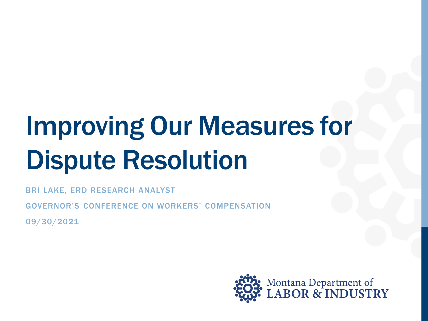# Improving Our Measures for Dispute Resolution

BRI LAKE, ERD RESEARCH ANALYST

GOVERNOR'S CONFERENCE ON WORKERS' COMPENSATION

09/30/2021

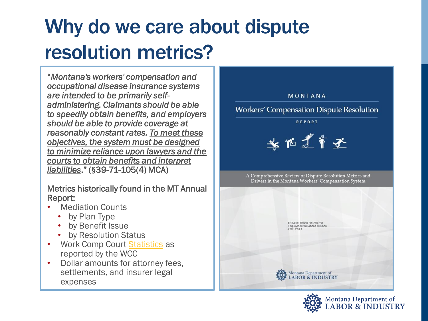## Why do we care about dispute resolution metrics?

"*Montana's workers' compensation and occupational disease insurance systems are intended to be primarily selfadministering. Claimants should be able to speedily obtain benefits, and employers should be able to provide coverage at reasonably constant rates. To meet these objectives, the system must be designed to minimize reliance upon lawyers and the courts to obtain benefits and interpret liabilities*." (**§**39-71-105(4) MCA)

#### Metrics historically found in the MT Annual Report:

- **Mediation Counts** 
	- by Plan Type
	- by Benefit Issue
	- by Resolution Status
- Work Comp Court [Statistics](http://wcc.dli.mt.gov/) as reported by the WCC
- Dollar amounts for attorney fees, settlements, and insurer legal expenses



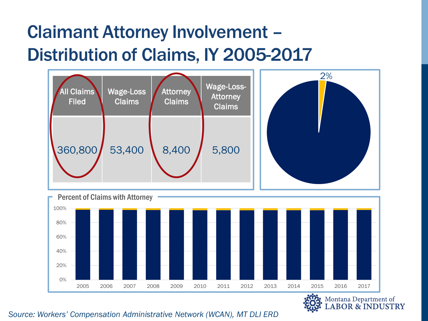### Claimant Attorney Involvement – Distribution of Claims, IY 2005-2017





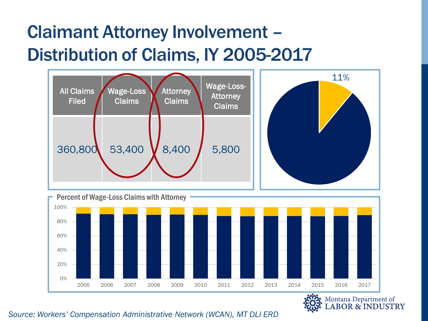### Claimant Attorney Involvement – Distribution of Claims, IY 2005-2017





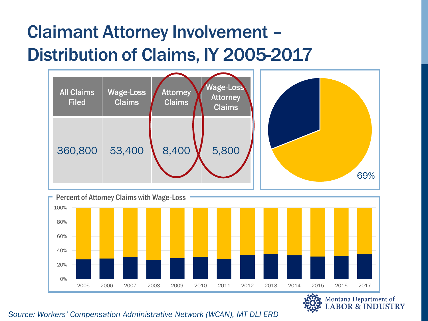### Claimant Attorney Involvement – Distribution of Claims, IY 2005-2017





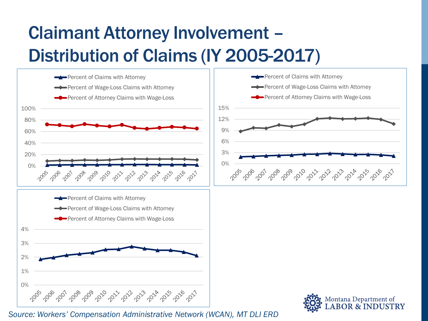## Claimant Attorney Involvement – Distribution of Claims (IY 2005-2017)

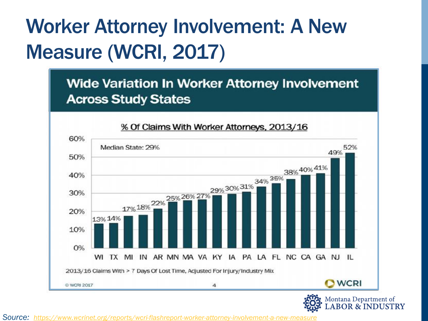## Worker Attorney Involvement: A New Measure (WCRI, 2017)

**Wide Variation In Worker Attorney Involvement Across Study States** 



**Source:** https://www.wcrinet.org/reports/wcri-flashreport-worker-attorney-involvement-a-new-meas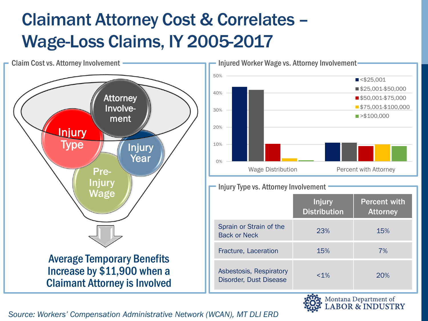### Claimant Attorney Cost & Correlates – Wage-Loss Claims, IY 2005-2017

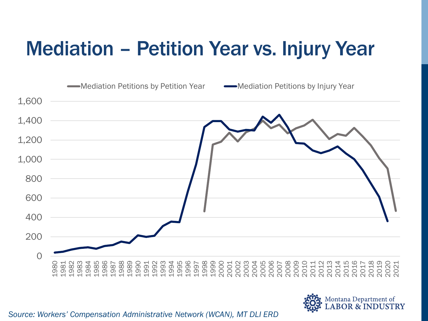## Mediation – Petition Year vs. Injury Year



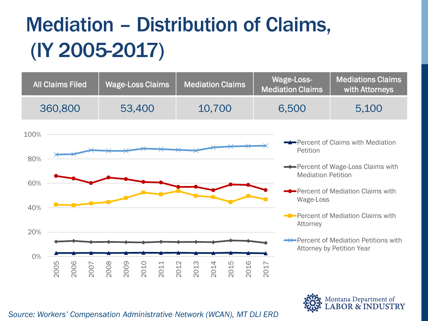## Mediation – Distribution of Claims, (IY 2005-2017)

| All Claims Filed | Wage-Loss Claims | <b>Mediation Claims</b> | Wage-Loss-<br><b>Mediation Claims</b> | Mediations Claims<br>with Attorneys |
|------------------|------------------|-------------------------|---------------------------------------|-------------------------------------|
| 360,800          | 53,400           | 10,700                  | 6.500                                 | 5.100                               |



Aontana Department of **BOR & INDUSTRY** 

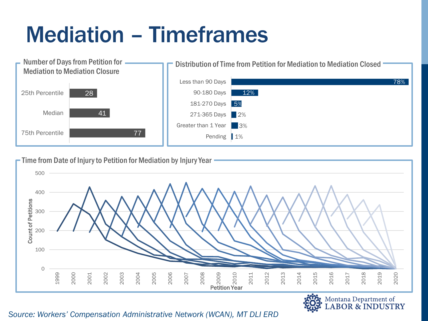## Mediation – Timeframes



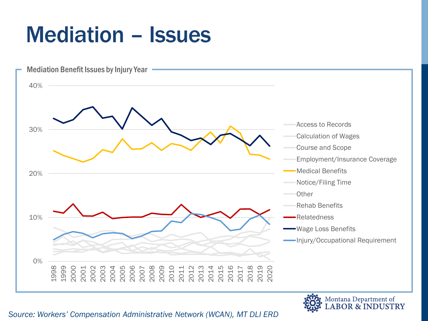## Mediation – Issues



Montana Department of<br>LABOR & INDUSTRY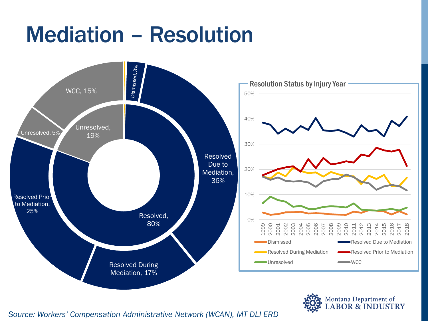## Mediation – Resolution



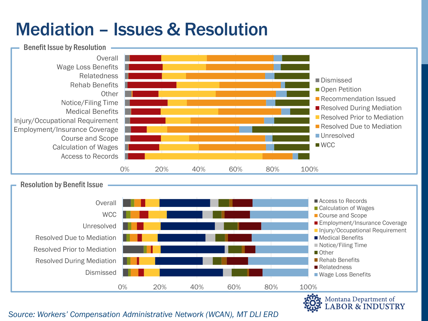### Mediation – Issues & Resolution



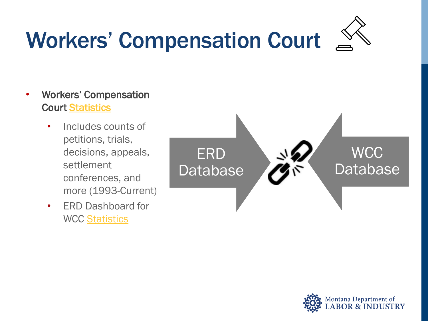## Workers' Compensation Court



### • Workers' Compensation Court [Statistics](http://wcc.dli.mt.gov/stats.asp)

- Includes counts of petitions, trials, decisions, appeals, settlement conferences, and more (1993-Current)
- ERD Dashboard for WCC [Statistics](https://erd.dli.mt.gov/data-dashboards/work-comp-court)



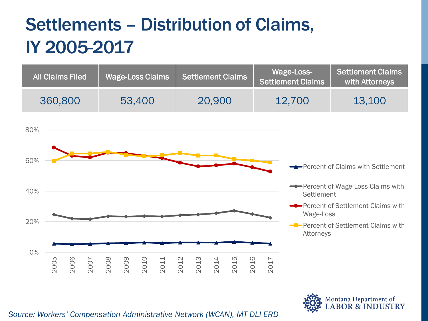## Settlements – Distribution of Claims, IY 2005-2017

| <b>All Claims Filed</b> | Wage-Loss Claims | Settlement Claims | Wage-Loss-<br><b>Settlement Claims</b> | <b>Settlement Claims</b><br>with Attorneys |
|-------------------------|------------------|-------------------|----------------------------------------|--------------------------------------------|
| 360,800                 | 53,400           | 20,900            | 12,700                                 | 13,100                                     |



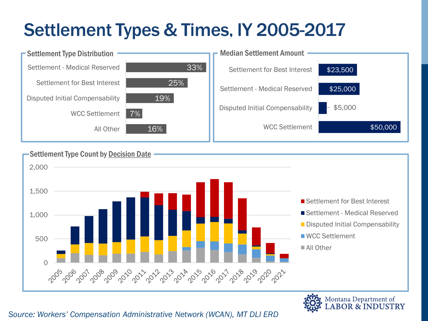## Settlement Types & Times, IY 2005-2017





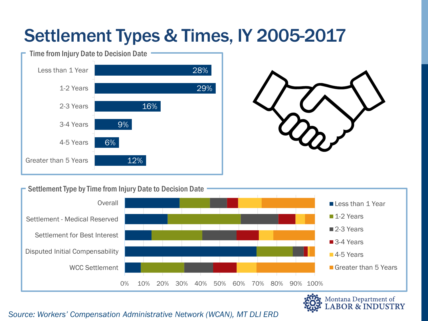### Settlement Types & Times, IY 2005-2017





#### Settlement Type by Time from Injury Date to Decision Date



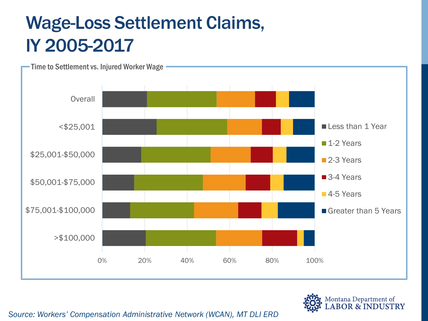## Wage-Loss Settlement Claims, IY 2005-2017